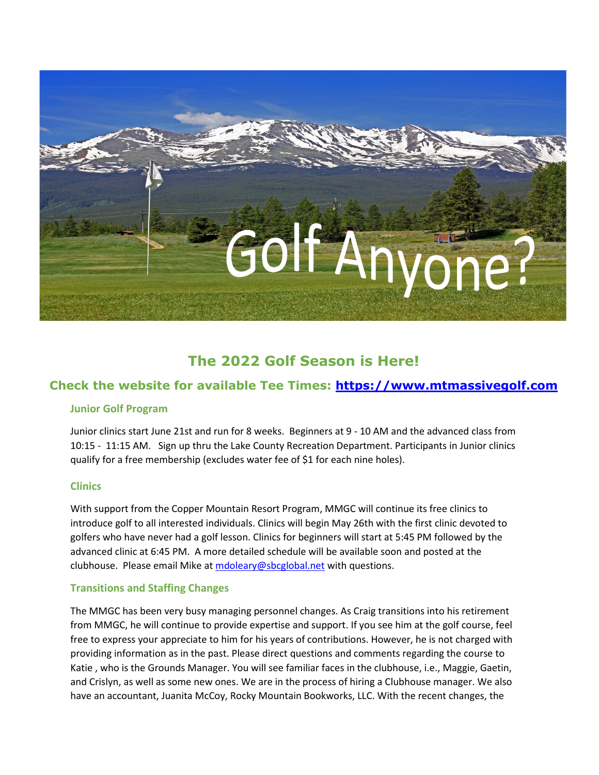

# **The 2022 Golf Season is Here!**

# **Check the website for available Tee Times: [https://www.mtmassivegolf.com](https://www.mtmassivegolf.com/)**

## **Junior Golf Program**

Junior clinics start June 21st and run for 8 weeks. Beginners at 9 - 10 AM and the advanced class from 10:15 - 11:15 AM. Sign up thru the Lake County Recreation Department. Participants in Junior clinics qualify for a free membership (excludes water fee of \$1 for each nine holes).

## **Clinics**

With support from the Copper Mountain Resort Program, MMGC will continue its free clinics to introduce golf to all interested individuals. Clinics will begin May 26th with the first clinic devoted to golfers who have never had a golf lesson. Clinics for beginners will start at 5:45 PM followed by the advanced clinic at 6:45 PM. A more detailed schedule will be available soon and posted at the clubhouse. Please email Mike at [mdoleary@sbcglobal.net](mailto:mdoleary@sbcglobal.net) with questions.

## **Transitions and Staffing Changes**

The MMGC has been very busy managing personnel changes. As Craig transitions into his retirement from MMGC, he will continue to provide expertise and support. If you see him at the golf course, feel free to express your appreciate to him for his years of contributions. However, he is not charged with providing information as in the past. Please direct questions and comments regarding the course to Katie , who is the Grounds Manager. You will see familiar faces in the clubhouse, i.e., Maggie, Gaetin, and Crislyn, as well as some new ones. We are in the process of hiring a Clubhouse manager. We also have an accountant, Juanita McCoy, Rocky Mountain Bookworks, LLC. With the recent changes, the